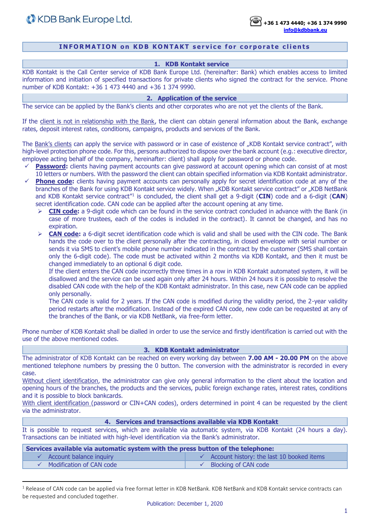## **INFORMATION on KDB KONTAKT service for corporate clients**

### **1. KDB Kontakt service**

KDB Kontakt is the Call Center service of KDB Bank Europe Ltd. (hereinafter: Bank) which enables access to limited information and initiation of specified transactions for private clients who signed the contract for the service. Phone number of KDB Kontakt: +36 1 473 4440 and +36 1 374 9990.

## **2. Application of the service**

The service can be applied by the Bank's clients and other corporates who are not yet the clients of the Bank.

If the client is not in relationship with the Bank, the client can obtain general information about the Bank, exchange rates, deposit interest rates, conditions, campaigns, products and services of the Bank.

The Bank's clients can apply the service with password or in case of existence of "KDB Kontakt service contract", with high-level protection phone code. For this, persons authorized to dispose over the bank account (e.g.: executive director, employee acting behalf of the company, hereinafter: client) shall apply for password or phone code.

- **Password:** clients having payment accounts can give password at account opening which can consist of at most 10 letters or numbers. With the password the client can obtain specified information via KDB Kontakt administrator.
- **Phone code:** clients having payment accounts can personally apply for secret identification code at any of the branches of the Bank for using KDB Kontakt service widely. When "KDB Kontakt service contract" or "KDB NetBank and KDB Kontakt service contract<sup>"1</sup> is concluded, the client shall get a 9-digit (CIN) code and a 6-digit (CAN) secret identification code. CAN code can be applied after the account opening at any time.
	- ➢ **CIN code:** a 9-digit code which can be found in the service contract concluded in advance with the Bank (in case of more trustees, each of the codes is included in the contract). It cannot be changed, and has no expiration.
	- ➢ **CAN code:** a 6-digit secret identification code which is valid and shall be used with the CIN code. The Bank hands the code over to the client personally after the contracting, in closed envelope with serial number or sends it via SMS to client's mobile phone number indicated in the contract by the customer (SMS shall contain only the 6-digit code). The code must be activated within 2 months via KDB Kontakt, and then it must be changed immediately to an optional 6 digit code.

If the client enters the CAN code incorrectly three times in a row in KDB Kontakt automated system, it will be disallowed and the service can be used again only after 24 hours. Within 24 hours it is possible to resolve the disabled CAN code with the help of the KDB Kontakt administrator. In this case, new CAN code can be applied only personally.

The CAN code is valid for 2 years. If the CAN code is modified during the validity period, the 2-year validity period restarts after the modification. Instead of the expired CAN code, new code can be requested at any of the branches of the Bank, or via KDB NetBank, via free-form letter.

Phone number of KDB Kontakt shall be dialled in order to use the service and firstly identification is carried out with the use of the above mentioned codes.

### **3. KDB Kontakt administrator**

The administrator of KDB Kontakt can be reached on every working day between **7.00 AM - 20.00 PM** on the above mentioned telephone numbers by pressing the 0 button. The conversion with the administrator is recorded in every case.

Without client identification, the administrator can give only general information to the client about the location and opening hours of the branches, the products and the services, public foreign exchange rates, interest rates, conditions and it is possible to block bankcards.

With client identification (password or CIN+CAN codes), orders determined in point 4 can be requested by the client via the administrator.

#### **4. Services and transactions available via KDB Kontakt**

It is possible to request services, which are available via automatic system, via KDB Kontakt (24 hours a day). Transactions can be initiated with high-level identification via the Bank's administrator.

| Services available via automatic system with the press button of the telephone: |                                                        |  |  |  |
|---------------------------------------------------------------------------------|--------------------------------------------------------|--|--|--|
| $\checkmark$ Account balance inquiry                                            | $\checkmark$ Account history: the last 10 booked items |  |  |  |
| $\checkmark$ Modification of CAN code                                           | Blocking of CAN code                                   |  |  |  |

 $1$  Release of CAN code can be applied via free format letter in KDB NetBank. KDB NetBank and KDB Kontakt service contracts can be requested and concluded together.